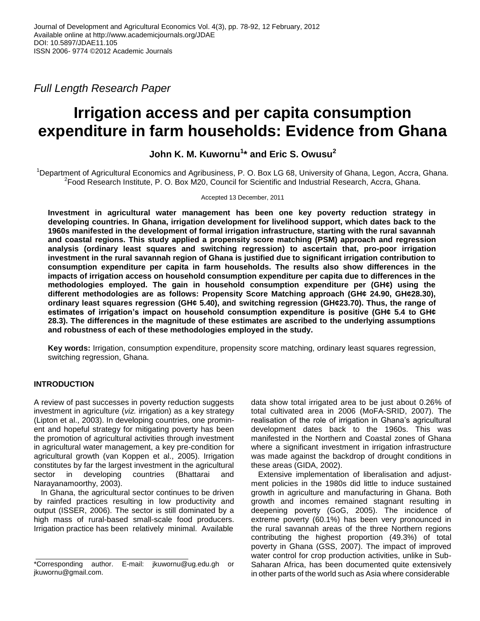*Full Length Research Paper*

# **Irrigation access and per capita consumption expenditure in farm households: Evidence from Ghana**

# **John K. M. Kuwornu<sup>1</sup> \* and Eric S. Owusu<sup>2</sup>**

<sup>1</sup>Department of Agricultural Economics and Agribusiness, P. O. Box LG 68, University of Ghana, Legon, Accra, Ghana. 2 Food Research Institute, P. O. Box M20, Council for Scientific and Industrial Research, Accra, Ghana.

## Accepted 13 December, 2011

**Investment in agricultural water management has been one key poverty reduction strategy in developing countries. In Ghana, irrigation development for livelihood support, which dates back to the 1960s manifested in the development of formal irrigation infrastructure, starting with the rural savannah and coastal regions. This study applied a propensity score matching (PSM) approach and regression analysis (ordinary least squares and switching regression) to ascertain that, pro-poor irrigation investment in the rural savannah region of Ghana is justified due to significant irrigation contribution to consumption expenditure per capita in farm households. The results also show differences in the impacts of irrigation access on household consumption expenditure per capita due to differences in the methodologies employed. The gain in household consumption expenditure per (GH¢) using the different methodologies are as follows: Propensity Score Matching approach (GH¢ 24.90, GH¢28.30), ordinary least squares regression (GH¢ 5.40), and switching regression (GH¢23.70). Thus, the range of estimates of irrigation's impact on household consumption expenditure is positive (GH¢ 5.4 to GH¢ 28.3). The differences in the magnitude of these estimates are ascribed to the underlying assumptions and robustness of each of these methodologies employed in the study.** 

**Key words:** Irrigation, consumption expenditure, propensity score matching, ordinary least squares regression, switching regression, Ghana.

# **INTRODUCTION**

A review of past successes in poverty reduction suggests investment in agriculture (*viz.* irrigation) as a key strategy (Lipton et al., 2003). In developing countries, one prominent and hopeful strategy for mitigating poverty has been the promotion of agricultural activities through investment in agricultural water management, a key pre-condition for agricultural growth (van Koppen et al., 2005). Irrigation constitutes by far the largest investment in the agricultural sector in developing countries (Bhattarai and Narayanamoorthy, 2003).

In Ghana, the agricultural sector continues to be driven by rainfed practices resulting in low productivity and output (ISSER, 2006). The sector is still dominated by a high mass of rural-based small-scale food producers. Irrigation practice has been relatively minimal. Available

data show total irrigated area to be just about 0.26% of total cultivated area in 2006 (MoFA-SRID, 2007). The realisation of the role of irrigation in Ghana"s agricultural development dates back to the 1960s. This was manifested in the Northern and Coastal zones of Ghana where a significant investment in irrigation infrastructure was made against the backdrop of drought conditions in these areas (GIDA, 2002).

Extensive implementation of liberalisation and adjustment policies in the 1980s did little to induce sustained growth in agriculture and manufacturing in Ghana. Both growth and incomes remained stagnant resulting in deepening poverty (GoG, 2005). The incidence of extreme poverty (60.1%) has been very pronounced in the rural savannah areas of the three Northern regions contributing the highest proportion (49.3%) of total poverty in Ghana (GSS, 2007). The impact of improved water control for crop production activities, unlike in Sub-Saharan Africa, has been documented quite extensively in other parts of the world such as Asia where considerable

<sup>\*</sup>Corresponding author. E-mail: jkuwornu@ug.edu.gh or jkuwornu@gmail.com.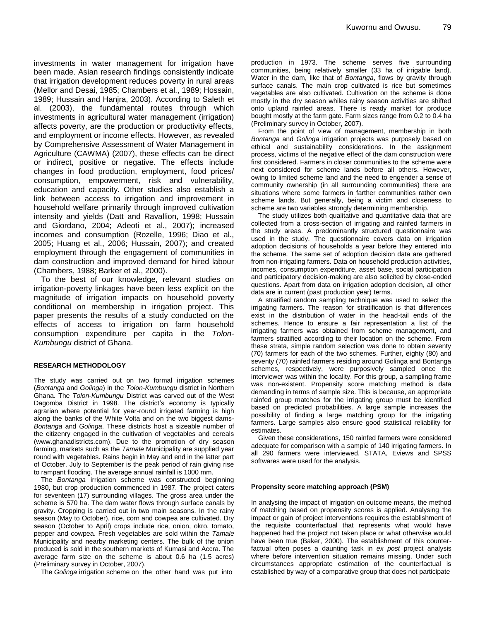investments in water management for irrigation have been made. Asian research findings consistently indicate that irrigation development reduces poverty in rural areas (Mellor and Desai, 1985; Chambers et al., 1989; Hossain, 1989; Hussain and Hanjra, 2003). According to Saleth et al. (2003), the fundamental routes through which investments in agricultural water management (irrigation) affects poverty, are the production or productivity effects, and employment or income effects. However, as revealed by Comprehensive Assessment of Water Management in Agriculture (CAWMA) (2007), these effects can be direct or indirect, positive or negative. The effects include changes in food production, employment, food prices/ consumption, empowerment, risk and vulnerability, education and capacity. Other studies also establish a link between access to irrigation and improvement in household welfare primarily through improved cultivation intensity and yields (Datt and Ravallion, 1998; Hussain and Giordano, 2004; Adeoti et al., 2007); increased incomes and consumption (Rozelle, 1996; Diao et al., 2005; Huang et al., 2006; Hussain, 2007); and created employment through the engagement of communities in dam construction and improved demand for hired labour (Chambers, 1988; Barker et al., 2000).

To the best of our knowledge, relevant studies on irrigation-poverty linkages have been less explicit on the magnitude of irrigation impacts on household poverty conditional on membership in irrigation project. This paper presents the results of a study conducted on the effects of access to irrigation on farm household consumption expenditure per capita in the *Tolon-Kumbungu* district of Ghana.

#### **RESEARCH METHODOLOGY**

The study was carried out on two formal irrigation schemes (*Bontanga* and *Golinga*) in the *Tolon-Kumbungu* district in Northern Ghana. The *Tolon-Kumbungu* District was carved out of the West Dagomba District in 1998. The district's economy is typically agrarian where potential for year-round irrigated farming is high along the banks of the White Volta and on the two biggest dams-*Bontanga* and *Golinga*. These districts host a sizeable number of the citizenry engaged in the cultivation of vegetables and cereals (www.ghanadistricts.com). Due to the promotion of dry season farming, markets such as the *Tamale* Municipality are supplied year round with vegetables. Rains begin in May and end in the latter part of October. July to September is the peak period of rain giving rise to rampant flooding. The average annual rainfall is 1000 mm.

The *Bontanga* irrigation scheme was constructed beginning 1980, but crop production commenced in 1987. The project caters for seventeen (17) surrounding villages. The gross area under the scheme is 570 ha. The dam water flows through surface canals by gravity. Cropping is carried out in two main seasons. In the rainy season (May to October), rice, corn and cowpea are cultivated. Dry season (October to April) crops include rice, onion, okro, tomato, pepper and cowpea. Fresh vegetables are sold within the *Tamale* Municipality and nearby marketing centers. The bulk of the onion produced is sold in the southern markets of Kumasi and Accra. The average farm size on the scheme is about 0.6 ha (1.5 acres) (Preliminary survey in October, 2007).

The *Golinga* irrigation scheme on the other hand was put into

production in 1973. The scheme serves five surrounding communities, being relatively smaller (33 ha of irrigable land). Water in the dam, like that of *Bontanga*, flows by gravity through surface canals. The main crop cultivated is rice but sometimes vegetables are also cultivated. Cultivation on the scheme is done mostly in the dry season whiles rainy season activities are shifted onto upland rainfed areas. There is ready market for produce bought mostly at the farm gate. Farm sizes range from 0.2 to 0.4 ha (Preliminary survey in October, 2007).

From the point of view of management, membership in both *Bontanga* and *Golinga* irrigation projects was purposely based on ethical and sustainability considerations. In the assignment process, victims of the negative effect of the dam construction were first considered. Farmers in closer communities to the scheme were next considered for scheme lands before all others. However, owing to limited scheme land and the need to engender a sense of community ownership (in all surrounding communities) there are situations where some farmers in farther communities rather own scheme lands. But generally, being a victim and closeness to scheme are two variables strongly determining membership.

The study utilizes both qualitative and quantitative data that are collected from a cross-section of irrigating and rainfed farmers in the study areas. A predominantly structured questionnaire was used in the study. The questionnaire covers data on irrigation adoption decisions of households a year before they entered into the scheme. The same set of adoption decision data are gathered from non-irrigating farmers. Data on household production activities, incomes, consumption expenditure, asset base, social participation and participatory decision-making are also solicited by close-ended questions. Apart from data on irrigation adoption decision, all other data are in current (past production year) terms.

A stratified random sampling technique was used to select the irrigating farmers. The reason for stratification is that differences exist in the distribution of water in the head-tail ends of the schemes. Hence to ensure a fair representation a list of the irrigating farmers was obtained from scheme management, and farmers stratified according to their location on the scheme. From these strata, simple random selection was done to obtain seventy (70) farmers for each of the two schemes. Further, eighty (80) and seventy (70) rainfed farmers residing around Golinga and Bontanga schemes, respectively, were purposively sampled once the interviewer was within the locality. For this group, a sampling frame was non-existent. Propensity score matching method is data demanding in terms of sample size. This is because, an appropriate rainfed group matches for the irrigating group must be identified based on predicted probabilities. A large sample increases the possibility of finding a large matching group for the irrigating farmers. Large samples also ensure good statistical reliability for estimates.

Given these considerations, 150 rainfed farmers were considered adequate for comparison with a sample of 140 irrigating farmers. In all 290 farmers were interviewed. STATA, Eviews and SPSS softwares were used for the analysis.

#### **Propensity score matching approach (PSM)**

In analysing the impact of irrigation on outcome means, the method of matching based on propensity scores is applied. Analysing the impact or gain of project interventions requires the establishment of the requisite counterfactual that represents what would have happened had the project not taken place or what otherwise would have been true (Baker, 2000). The establishment of this counterfactual often poses a daunting task in *ex post* project analysis where before intervention situation remains missing. Under such circumstances appropriate estimation of the counterfactual is established by way of a comparative group that does not participate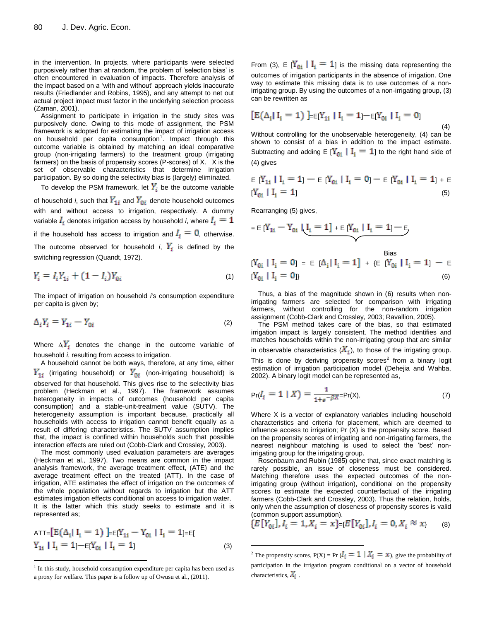in the intervention. In projects, where participants were selected purposively rather than at random, the problem of "selection bias" is often encountered in evaluation of impacts. Therefore analysis of the impact based on a "with and without" approach yields inaccurate results (Friedlander and Robins, 1995), and any attempt to net out actual project impact must factor in the underlying selection process (Zaman, 2001).

Assignment to participate in irrigation in the study sites was purposively done. Owing to this mode of assignment, the PSM framework is adopted for estimating the impact of irrigation access on household per capita consumption<sup>1</sup>. Impact through this outcome variable is obtained by matching an ideal comparative group (non-irrigating farmers) to the treatment group (irrigating farmers) on the basis of propensity scores (P-scores) of X.X is the set of observable characteristics that determine irrigation participation. By so doing the selectivity bias is (largely) eliminated.

To develop the PSM framework, let  $Y_i$  be the outcome variable of household *i*, such that  $Y_{1i}$  and  $Y_{0i}$  denote household outcomes with and without access to irrigation, respectively. A dummy variable  $I_i$  denotes irrigation access by household *i*, where  $I_i = 1$ if the household has access to irrigation and  $I_i = 0$ , otherwise. The outcome observed for household *i*,  $Y_i$  is defined by the switching regression (Quandt, 1972).

$$
Y_i = I_i Y_{1i} + (1 - I_i) Y_{0i}
$$
 (1)

The impact of irrigation on household *i*'s consumption expenditure per capita is given by;

$$
\Delta_i Y_i = Y_{1i} - Y_{0i} \tag{2}
$$

Where  $\Delta_i Y_i$  denotes the change in the outcome variable of household *i*, resulting from access to irrigation.

A household cannot be both ways, therefore, at any time, either  $Y_{1i}$  (irrigating household) or  $Y_{0i}$  (non-irrigating household) is observed for that household. This gives rise to the selectivity bias problem (Heckman et al., 1997). The framework assumes heterogeneity in impacts of outcomes (household per capita consumption) and a stable-unit-treatment value (SUTV). The heterogeneity assumption is important because, practically all households with access to irrigation cannot benefit equally as a result of differing characteristics. The SUTV assumption implies that, the impact is confined within households such that possible interaction effects are ruled out (Cobb-Clark and Crossley, 2003).

The most commonly used evaluation parameters are averages (Heckman et al., 1997). Two means are common in the impact analysis framework, the average treatment effect, (ATE) and the average treatment effect on the treated (ATT). In the case of irrigation, ATE estimates the effect of irrigation on the outcomes of the whole population without regards to irrigation but the ATT estimates irrigation effects conditional on access to irrigation water. It is the latter which this study seeks to estimate and it is represented as;

$$
ATT = [E(\Delta_i | I_i = 1)] = E[Y_{1i} - Y_{0i} | I_i = 1] = E[
$$
  
\n
$$
Y_{1i} | I_i = 1] - E[Y_{0i} | I_i = 1]
$$
 (3)

 $\overline{a}$ 

From (3), E  $[Y_{0i} \mid I_i = 1]$  is the missing data representing the outcomes of irrigation participants in the absence of irrigation. One way to estimate this missing data is to use outcomes of a nonirrigating group. By using the outcomes of a non-irrigating group, (3) can be rewritten as

$$
[E(\Delta_i | I_i = 1)] = E[Y_{1i} | I_i = 1] - E[Y_{0i} | I_i = 0]
$$
\n(4)

Without controlling for the unobservable heterogeneity, (4) can be shown to consist of a bias in addition to the impact estimate. Subtracting and adding E  $[Y_{0i} | I_i = 1]$  to the right hand side of (4) gives

$$
E[Y_{1i} | I_i = 1] - E[Y_{0i} | I_i = 0] - E[Y_{0i} | I_i = 1] + E
$$
  
[Y\_{0i} | I\_i = 1] (5)

Rearranging (5) gives,

 $\overline{a}$ 

$$
= E[Y_{1i} - Y_{0i} | \underbrace{I_i = 1] + E[Y_{0i} | I_i = 1] - E}_{\text{max}}
$$

$$
[Y_{0i} | I_i = 0] = E [A_i | I_i = 1] + \{E [Y_{0i} | I_i = 1] - E [Y_{0i} | I_i = 0]\}
$$
\n(6)

Thus, a bias of the magnitude shown in (6) results when nonirrigating farmers are selected for comparison with irrigating farmers, without controlling for the non-random irrigation assignment (Cobb-Clark and Crossley, 2003; Ravallion, 2005).

The PSM method takes care of the bias, so that estimated irrigation impact is largely consistent. The method identifies and matches households within the non-irrigating group that are similar in observable characteristics  $(X_i)$ , to those of the irrigating group. This is done by deriving propensity scores<sup>2</sup> from a binary logit estimation of irrigation participation model (Dehejia and Wahba, 2002). A binary logit model can be represented as,

$$
\Pr(I_i = 1 \mid X) = \frac{1}{1 + e^{-\beta X}} = \Pr(X),\tag{7}
$$

Where X is a vector of explanatory variables including household characteristics and criteria for placement, which are deemed to influence access to irrigation; Pr (X) is the propensity score. Based on the propensity scores of irrigating and non-irrigating farmers, the nearest neighbour matching is used to select the 'best' nonirrigating group for the irrigating group.

Rosenbaum and Rubin (1985) opine that, since exact matching is rarely possible, an issue of closeness must be considered. Matching therefore uses the expected outcomes of the nonirrigating group (without irrigation), conditional on the propensity scores to estimate the expected counterfactual of the irrigating farmers (Cobb-Clark and Crossley, 2003). Thus the relation, holds, only when the assumption of closeness of propensity scores is valid (common support assumption).

$$
\{E[Y_{0i}], I_i = 1, X_i = x\} = \{E[Y_{0i}], I_i = 0, X_i \approx x\}
$$
 (8)

<sup>&</sup>lt;sup>1</sup> In this study, household consumption expenditure per capita has been used as a proxy for welfare. This paper is a follow up of Owusu et al., (2011).

<sup>&</sup>lt;sup>2</sup> The propensity scores, P(X) = Pr ( $I_i = 1 | X_i = x$ ), give the probability of participation in the irrigation program conditional on a vector of household characteristics,  $X_i$ .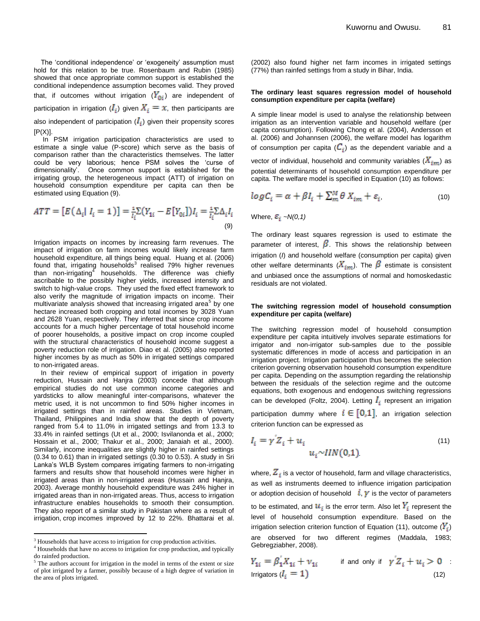The 'conditional independence' or 'exogeneity' assumption must hold for this relation to be true. Rosenbaum and Rubin (1985) showed that once appropriate common support is established the conditional independence assumption becomes valid. They proved that, if outcomes without irrigation  $(Y_{0i})$  are independent of participation in irrigation  $(I_i)$  given  $X_i = x$ , then participants are also independent of participation  $(I_i)$  given their propensity scores  $[P(X)].$ 

In PSM irrigation participation characteristics are used to estimate a single value (P-score) which serve as the basis of comparison rather than the characteristics themselves. The latter could be very laborious; hence PSM solves the "curse of dimensionality". Once common support is established for the irrigating group, the heterogeneous impact (ATT) of irrigation on household consumption expenditure per capita can then be estimated using Equation (9).

$$
ATT = [E(\Delta_i | I_i = 1)] = \frac{1}{I_i} \Sigma (Y_{1i} - E[Y_{0i}]) I_i = \frac{1}{I_i} \Sigma \Delta_i I_i
$$
\n(9)

Irrigation impacts on incomes by increasing farm revenues. The impact of irrigation on farm incomes would likely increase farm household expenditure, all things being equal. Huang et al. (2006) found that, irrigating households<sup>3</sup> realised 79% higher revenues than non-irrigating<sup>4</sup> households. The difference was chiefly ascribable to the possibly higher yields, increased intensity and switch to high-value crops. They used the fixed effect framework to also verify the magnitude of irrigation impacts on income. Their multivariate analysis showed that increasing irrigated area<sup>5</sup> by one hectare increased both cropping and total incomes by 3028 Yuan and 2628 Yuan, respectively. They inferred that since crop income accounts for a much higher percentage of total household income of poorer households, a positive impact on crop income coupled with the structural characteristics of household income suggest a poverty reduction role of irrigation. Diao et al. (2005) also reported higher incomes by as much as 50% in irrigated settings compared to non-irrigated areas.

In their review of empirical support of irrigation in poverty reduction, Hussain and Hanjra (2003) concede that although empirical studies do not use common income categories and yardsticks to allow meaningful inter-comparisons, whatever the metric used, it is not uncommon to find 50% higher incomes in irrigated settings than in rainfed areas. Studies in Vietnam, Thailand, Philippines and India show that the depth of poverty ranged from 5.4 to 11.0% in irrigated settings and from 13.3 to 33.4% in rainfed settings (Ut et al., 2000; Isvilanonda et al., 2000; Hossain et al., 2000; Thakur et al., 2000; Janaiah et al., 2000). Similarly, income inequalities are slightly higher in rainfed settings (0.34 to 0.61) than in irrigated settings (0.30 to 0.53). A study in Sri Lanka"s WLB System compares irrigating farmers to non-irrigating farmers and results show that household incomes were higher in irrigated areas than in non-irrigated areas (Hussain and Hanjra, 2003). Average monthly household expenditure was 24% higher in irrigated areas than in non-irrigated areas. Thus, access to irrigation infrastructure enables households to smooth their consumption. They also report of a similar study in Pakistan where as a result of irrigation, crop incomes improved by 12 to 22%. Bhattarai et al.

 $\overline{a}$ 

(2002) also found higher net farm incomes in irrigated settings (77%) than rainfed settings from a study in Bihar, India.

#### **The ordinary least squares regression model of household consumption expenditure per capita (welfare)**

A simple linear model is used to analyse the relationship between irrigation as an intervention variable and household welfare (per capita consumption). Following Chong et al. (2004), Andersson et al. (2006) and Johannsen (2006), the welfare model has logarithm of consumption per capita  $(C_i)$  as the dependent variable and a vector of individual, household and community variables  $(X_{im})$  as potential determinants of household consumption expenditure per capita. The welfare model is specified in Equation (10) as follows:

$$
log C_i = \alpha + \beta I_i + \sum_{m}^{M} \theta X_{im} + \varepsilon_i,
$$
\n(10)

Where,  $\varepsilon_i$  ~ $N(0,1)$ 

The ordinary least squares regression is used to estimate the parameter of interest,  $\beta$ . This shows the relationship between irrigation (*I*) and household welfare (consumption per capita) given other welfare determinants  $(X_{im})$ . The  $\beta$  estimate is consistent and unbiased once the assumptions of normal and homoskedastic residuals are not violated.

#### **The switching regression model of household consumption expenditure per capita (welfare)**

The switching regression model of household consumption expenditure per capita intuitively involves separate estimations for irrigator and non-irrigator sub-samples due to the possible systematic differences in mode of access and participation in an irrigation project. Irrigation participation thus becomes the selection criterion governing observation household consumption expenditure per capita. Depending on the assumption regarding the relationship between the residuals of the selection regime and the outcome equations, both exogenous and endogenous switching regressions can be developed (Foltz, 2004). Letting  $I_i$  represent an irrigation participation dummy where  $i \in [0,1]$ , an irrigation selection criterion function can be expressed as

$$
I_i = \gamma' Z_i + u_i
$$
  
\n
$$
u_i \sim IIN(0,1)
$$
\n(11)

where,  $Z_i$  is a vector of household, farm and village characteristics, as well as instruments deemed to influence irrigation participation or adoption decision of household  $\mathbf{i}$ ,  $\mathbf{y}$  is the vector of parameters to be estimated, and  $u_i$  is the error term. Also let  $Y_i$  represent the level of household consumption expenditure. Based on the irrigation selection criterion function of Equation (11), outcome  $(Y_i)$ are observed for two different regimes (Maddala, 1983; Gebregziabher, 2008).

$$
Y_{1i} = \beta_1 X_{1i} + \nu_{1i} \qquad \text{if and only if} \quad \gamma Z_i + u_i > 0 \quad \text{:\n
$$
\text{Irrigators } (I_i = 1) \tag{12}
$$
$$

<sup>&</sup>lt;sup>3</sup> Households that have access to irrigation for crop production activities.

<sup>&</sup>lt;sup>4</sup> Households that have no access to irrigation for crop production, and typically do rainfed production.

The authors account for irrigation in the model in terms of the extent or size of plot irrigated by a farmer, possibly because of a high degree of variation in the area of plots irrigated.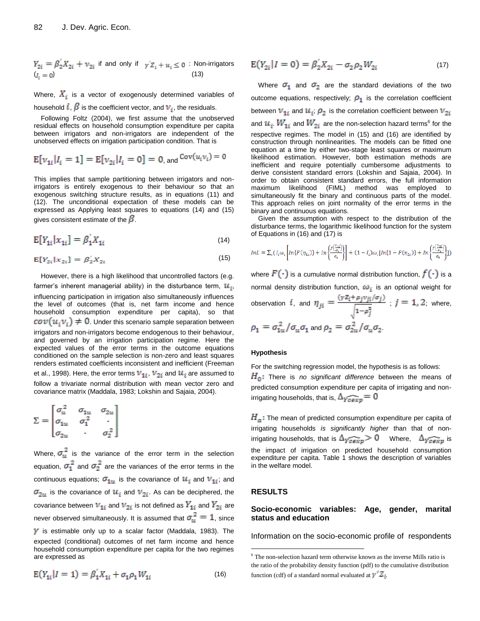$$
Y_{2i} = \beta_2 X_{2i} + \nu_{2i}
$$
 if and only if  $\gamma Z_i + u_i \le 0$ : Non-irrigators  $(I_i = 0)$  (13)

Where,  $X_i$  is a vector of exogenously determined variables of household  $i, \beta$  is the coefficient vector, and  $v_i$ , the residuals.

Following Foltz (2004), we first assume that the unobserved residual effects on household consumption expenditure per capita between irrigators and non-irrigators are independent of the unobserved effects on irrigation participation condition. That is

$$
E[v_{1i}|I_i = 1] = E[v_{2i}|I_i = 0] = 0, \text{ and } \text{Cov}(u_iv_i) = 0
$$

This implies that sample partitioning between irrigators and nonirrigators is entirely exogenous to their behaviour so that an exogenous switching structure results, as in equations (11) and (12). The unconditional expectation of these models can be expressed as Applying least squares to equations (14) and (15) gives consistent estimate of the  $\beta$ .

$$
E[Y_{1i}|x_{1i}] = \beta_1' X_{1i}
$$
 (14)

$$
E[Y_{2i}|x_{2i}] = \beta_2' X_{2i}
$$
 (15)

However, there is a high likelihood that uncontrolled factors (e.g. farmer's inherent managerial ability) in the disturbance term,  $u_i$ , influencing participation in irrigation also simultaneously influences the level of outcomes (that is, net farm income and hence household consumption expenditure per capita), so that  $\cot(u_i v_i) \neq 0$ . Under this scenario sample separation between irrigators and non-irrigators become endogenous to their behaviour, and governed by an irrigation participation regime. Here the expected values of the error terms in the outcome equations conditioned on the sample selection is non-zero and least squares renders estimated coefficients inconsistent and inefficient (Freeman et al., 1998). Here, the error terms  $v_{1i}$ ,  $v_{2i}$  and  $u_i$  are assumed to follow a trivariate normal distribution with mean vector zero and covariance matrix (Maddala, 1983; Lokshin and Sajaia, 2004).

$$
\Sigma = \begin{bmatrix} \sigma_u^2 & \sigma_{1u} & \sigma_{2u} \\ \sigma_{1u} & \sigma_1^2 & \cdot \\ \sigma_{2u} & \cdot & \sigma_2^2 \end{bmatrix}
$$

Where,  $\sigma_u^2$  is the variance of the error term in the selection equation,  $\sigma_1^2$  and  $\sigma_2^2$  are the variances of the error terms in the continuous equations;  $\sigma_{1u}$  is the covariance of  $u_i$  and  $v_{1i}$ ; and  $\sigma_{2u}$  is the covariance of  $u_i$  and  $v_{2i}$ . As can be deciphered, the covariance between  $v_{1i}$  and  $v_{2i}$  is not defined as  $Y_{1i}$  and  $Y_{2i}$  are never observed simultaneously. It is assumed that  $\sigma_u^2 = 1$ , since  $\gamma$  is estimable only up to a scalar factor (Maddala, 1983). The expected (conditional) outcomes of net farm income and hence household consumption expenditure per capita for the two regimes are expressed as

$$
E(Y_{1i}|I=1) = \beta_1 X_{1i} + \sigma_1 \rho_1 W_{1i}
$$
 (16)

$$
E(Y_{2i}|I=0) = \beta_2' X_{2i} - \sigma_2 \rho_2 W_{2i}
$$
 (17)

Where  $\sigma_1$  and  $\sigma_2$  are the standard deviations of the two outcome equations, respectively;  $\rho_1$  is the correlation coefficient between  $v_{1i}$  and  $u_i$ ;  $\rho_2$  is the correlation coefficient between  $v_{2i}$ and  $u_i$ .  $W_{1i}$  and  $W_{2i}$  are the non-selection hazard terms<sup>6</sup> for the respective regimes. The model in (15) and (16) are identified by construction through nonlinearities. The models can be fitted one equation at a time by either two-stage least squares or maximum likelihood estimation. However, both estimation methods are inefficient and require potentially cumbersome adjustments to derive consistent standard errors (Lokshin and Sajaia, 2004). In order to obtain consistent standard errors, the full information maximum likelihood (FIML) method was employed to simultaneously fit the binary and continuous parts of the model. This approach relies on joint normality of the error terms in the binary and continuous equations.

Given the assumption with respect to the distribution of the disturbance terms, the logarithmic likelihood function for the system of Equations in (16) and (17) is

$$
\label{eq:1} \begin{split} \begin{aligned} \text{In} L\,&=\Sigma_i\big(\,I_i \omega_i \Bigg[ \text{In}\{F\,(\eta_{1i})\} + \text{In}\bigg\{\!\frac{f\binom{V_{zij}}{\sigma_z}}{\sigma_z}\!\bigg\}\!\Bigg] + \big(1-I_i\big) \omega_i \big[\text{In}\{1-F(\eta_{2i})\} + \text{In}\bigg\{\!\frac{f\binom{V_{zij}}{\sigma_z}}{\sigma_z}\!\bigg]\!\big)\end{aligned}
$$

where  $F(\cdot)$  is a cumulative normal distribution function,  $f(\cdot)$  is a normal density distribution function,  $\omega_i$  is an optional weight for observation i, and  $\eta_{ji} = \frac{(yZ_i + \rho_j v_{ji}/\sigma_j)}{\sqrt{1-\rho_j^2}}$ ;  $j = 1, 2$ ; where,  $\rho_1 = \sigma_{1u}^2/\sigma_u \sigma_1$  and  $\rho_2 = \sigma_{2u}^2/\sigma_u \sigma_2$ .

#### **Hypothesis**

For the switching regression model, the hypothesis is as follows: H<sub>0</sub>: There is *no significant difference* between the means of predicted consumption expenditure per capita of irrigating and nonirrigating households, that is,  $\Delta_{\widetilde{Ycexp}} = 0$ 

 $H_a$ : The mean of predicted consumption expenditure per capita of irrigating households *is significantly higher* than that of nonirrigating households, that is  $\Delta_{\widehat{Ycexp}} > 0$  Where,  $\Delta_{\widehat{Ycexp}}$  is the impact of irrigation on predicted household consumption expenditure per capita. Table 1 shows the description of variables in the welfare model.

#### **RESULTS**

 $\overline{a}$ 

## **Socio-economic variables: Age, gender, marital status and education**

Information on the socio-economic profile of respondents

 $6$  The non-selection hazard term otherwise known as the inverse Mills ratio is the ratio of the probability density function (pdf) to the cumulative distribution function (cdf) of a standard normal evaluated at  $\gamma Z_i$ .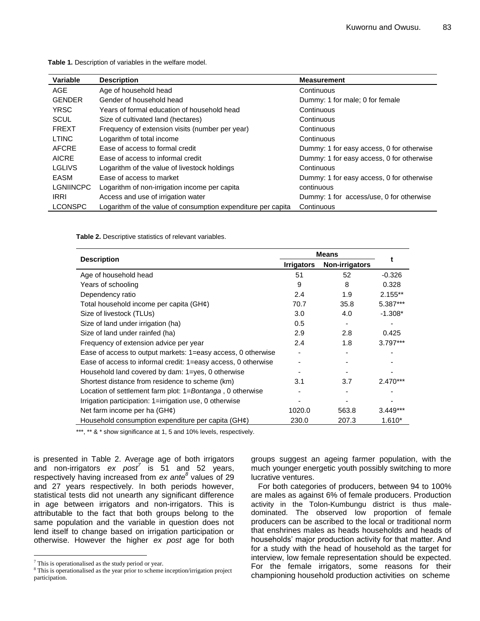| Variable         | <b>Description</b>                                           | <b>Measurement</b>                        |
|------------------|--------------------------------------------------------------|-------------------------------------------|
| AGE              | Age of household head                                        | Continuous                                |
| <b>GENDER</b>    | Gender of household head                                     | Dummy: 1 for male; 0 for female           |
| <b>YRSC</b>      | Years of formal education of household head                  | Continuous                                |
| SCUL             | Size of cultivated land (hectares)                           | Continuous                                |
| <b>FREXT</b>     | Frequency of extension visits (number per year)              | Continuous                                |
| <b>LTINC</b>     | Logarithm of total income                                    | Continuous                                |
| AFCRE            | Ease of access to formal credit                              | Dummy: 1 for easy access, 0 for otherwise |
| <b>AICRE</b>     | Ease of access to informal credit                            | Dummy: 1 for easy access, 0 for otherwise |
| LGLIVS           | Logarithm of the value of livestock holdings                 | Continuous                                |
| EASM             | Ease of access to market                                     | Dummy: 1 for easy access, 0 for otherwise |
| <b>LGNIINCPC</b> | Logarithm of non-irrigation income per capita                | continuous                                |
| <b>IRRI</b>      | Access and use of irrigation water                           | Dummy: 1 for access/use, 0 for otherwise  |
| <b>LCONSPC</b>   | Logarithm of the value of consumption expenditure per capita | Continuous                                |
|                  |                                                              |                                           |

**Table 1.** Description of variables in the welfare model.

**Table 2.** Descriptive statistics of relevant variables.

|                                                               | <b>Means</b>      |                |            |
|---------------------------------------------------------------|-------------------|----------------|------------|
| <b>Description</b>                                            | <b>Irrigators</b> | Non-irrigators |            |
| Age of household head                                         | 51                | 52             | $-0.326$   |
| Years of schooling                                            | 9                 | 8              | 0.328      |
| Dependency ratio                                              | 2.4               | 1.9            | $2.155**$  |
| Total household income per capita (GH $\phi$ )                | 70.7              | 35.8           | 5.387***   |
| Size of livestock (TLUs)                                      | 3.0               | 4.0            | $-1.308*$  |
| Size of land under irrigation (ha)                            | 0.5               |                |            |
| Size of land under rainfed (ha)                               | 2.9               | 2.8            | 0.425      |
| Frequency of extension advice per year                        | 2.4               | 1.8            | $3.797***$ |
| Ease of access to output markets: 1=easy access, 0 otherwise  |                   |                |            |
| Ease of access to informal credit: 1=easy access, 0 otherwise |                   |                |            |
| Household land covered by dam: 1=yes, 0 otherwise             |                   |                |            |
| Shortest distance from residence to scheme (km)               | 3.1               | 3.7            | $2.470***$ |
| Location of settlement farm plot: 1=Bontanga, 0 otherwise     |                   |                |            |
| Irrigation participation: 1=irrigation use, 0 otherwise       |                   |                |            |
| Net farm income per ha $(GH\phi)$                             | 1020.0            | 563.8          | $3.449***$ |
| Household consumption expenditure per capita (GH $\phi$ )     | 230.0             | 207.3          | $1.610*$   |

\*\*\*, \*\* & \* show significance at 1, 5 and 10% levels, respectively.

is presented in Table 2. Average age of both irrigators and non-irrigators *ex post<sup>7</sup>* is 51 and 52 years, respectively having increased from *ex ante<sup>8</sup>* values of 29 and 27 years respectively. In both periods however, statistical tests did not unearth any significant difference in age between irrigators and non-irrigators. This is attributable to the fact that both groups belong to the same population and the variable in question does not lend itself to change based on irrigation participation or otherwise. However the higher *ex post* age for both

 $\overline{a}$ 

groups suggest an ageing farmer population, with the much younger energetic youth possibly switching to more lucrative ventures.

For both categories of producers, between 94 to 100% are males as against 6% of female producers. Production activity in the Tolon-Kumbungu district is thus maledominated. The observed low proportion of female producers can be ascribed to the local or traditional norm that enshrines males as heads households and heads of households" major production activity for that matter. And for a study with the head of household as the target for interview, low female representation should be expected. For the female irrigators, some reasons for their championing household production activities on scheme

 $7$  This is operationalised as the study period or year.

<sup>&</sup>lt;sup>8</sup> This is operationalised as the year prior to scheme inception/irrigation project participation.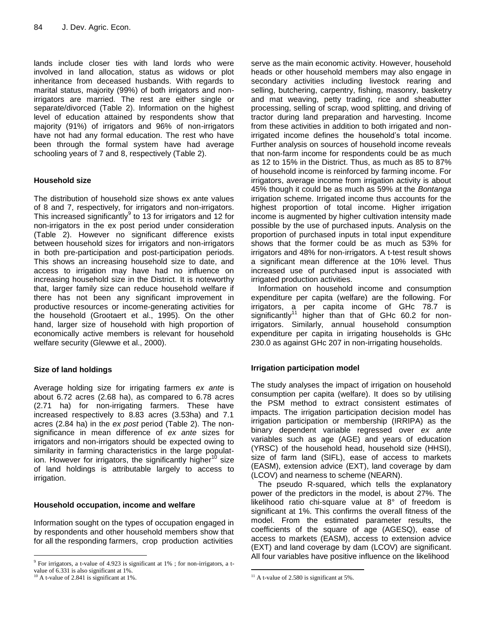lands include closer ties with land lords who were involved in land allocation, status as widows or plot inheritance from deceased husbands. With regards to marital status, majority (99%) of both irrigators and nonirrigators are married. The rest are either single or separate/divorced (Table 2). Information on the highest level of education attained by respondents show that majority (91%) of irrigators and 96% of non-irrigators have not had any formal education. The rest who have been through the formal system have had average schooling years of 7 and 8, respectively (Table 2).

# **Household size**

The distribution of household size shows ex ante values of 8 and 7, respectively, for irrigators and non-irrigators. This increased significantly $9$  to 13 for irrigators and 12 for non-irrigators in the ex post period under consideration (Table 2). However no significant difference exists between household sizes for irrigators and non-irrigators in both pre-participation and post-participation periods. This shows an increasing household size to date, and access to irrigation may have had no influence on increasing household size in the District. It is noteworthy that, larger family size can reduce household welfare if there has not been any significant improvement in productive resources or income-generating activities for the household (Grootaert et al., 1995). On the other hand, larger size of household with high proportion of economically active members is relevant for household welfare security (Glewwe et al., 2000).

# **Size of land holdings**

Average holding size for irrigating farmers *ex ante* is about 6.72 acres (2.68 ha), as compared to 6.78 acres (2.71 ha) for non-irrigating farmers. These have increased respectively to 8.83 acres (3.53ha) and 7.1 acres (2.84 ha) in the *ex post* period (Table 2). The nonsignificance in mean difference of *ex ante* sizes for irrigators and non-irrigators should be expected owing to similarity in farming characteristics in the large population. However for irrigators, the significantly higher<sup>10</sup> size of land holdings is attributable largely to access to irrigation.

# **Household occupation, income and welfare**

Information sought on the types of occupation engaged in by respondents and other household members show that for all the responding farmers, crop production activities

 $\overline{a}$ 

serve as the main economic activity. However, household heads or other household members may also engage in secondary activities including livestock rearing and selling, butchering, carpentry, fishing, masonry, basketry and mat weaving, petty trading, rice and sheabutter processing, selling of scrap, wood splitting, and driving of tractor during land preparation and harvesting. Income from these activities in addition to both irrigated and nonirrigated income defines the household"s total income. Further analysis on sources of household income reveals that non-farm income for respondents could be as much as 12 to 15% in the District. Thus, as much as 85 to 87% of household income is reinforced by farming income. For irrigators, average income from irrigation activity is about 45% though it could be as much as 59% at the *Bontanga* irrigation scheme. Irrigated income thus accounts for the highest proportion of total income. Higher irrigation income is augmented by higher cultivation intensity made possible by the use of purchased inputs. Analysis on the proportion of purchased inputs in total input expenditure shows that the former could be as much as 53% for irrigators and 48% for non-irrigators. A t-test result shows a significant mean difference at the 10% level. Thus increased use of purchased input is associated with irrigated production activities.

Information on household income and consumption expenditure per capita (welfare) are the following. For irrigators, a per capita income of GHc 78.7 is significantly<sup>11</sup> higher than that of GHc 60.2 for nonirrigators. Similarly, annual household consumption expenditure per capita in irrigating households is GHc 230.0 as against GHc 207 in non-irrigating households.

# **Irrigation participation model**

The study analyses the impact of irrigation on household consumption per capita (welfare). It does so by utilising the PSM method to extract consistent estimates of impacts. The irrigation participation decision model has irrigation participation or membership (IRRIPA) as the binary dependent variable regressed over *ex ante* variables such as age (AGE) and years of education (YRSC) of the household head, household size (HHSI), size of farm land (SIFL), ease of access to markets (EASM), extension advice (EXT), land coverage by dam (LCOV) and nearness to scheme (NEARN).

The pseudo R-squared, which tells the explanatory power of the predictors in the model, is about 27%. The likelihood ratio chi-square value at 8° of freedom is significant at 1%. This confirms the overall fitness of the model. From the estimated parameter results, the coefficients of the square of age (AGESQ), ease of access to markets (EASM), access to extension advice (EXT) and land coverage by dam (LCOV) are significant. All four variables have positive influence on the likelihood

<sup>&</sup>lt;sup>9</sup> For irrigators, a t-value of 4.923 is significant at 1%; for non-irrigators, a tvalue of 6.331 is also significant at 1%.

 $10$  A t-value of 2.841 is significant at 1%.

 $\overline{a}$  $11$  A t-value of 2.580 is significant at 5%.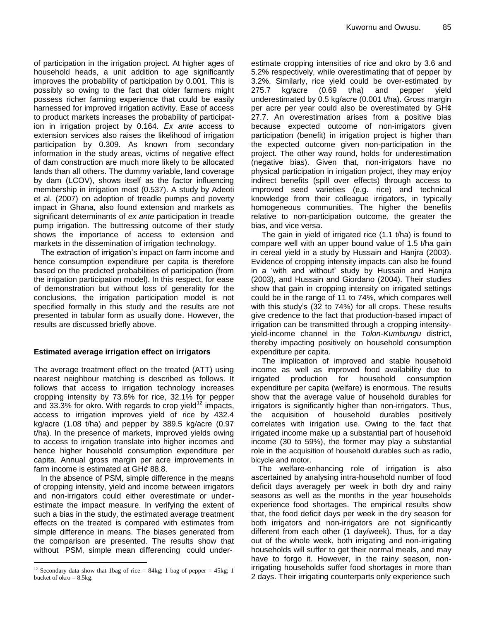of participation in the irrigation project. At higher ages of household heads, a unit addition to age significantly improves the probability of participation by 0.001. This is possibly so owing to the fact that older farmers might possess richer farming experience that could be easily harnessed for improved irrigation activity. Ease of access to product markets increases the probability of participation in irrigation project by 0.164. *Ex ante* access to extension services also raises the likelihood of irrigation participation by 0.309. As known from secondary information in the study areas, victims of negative effect of dam construction are much more likely to be allocated lands than all others. The dummy variable, land coverage by dam (LCOV), shows itself as the factor influencing membership in irrigation most (0.537). A study by Adeoti et al. (2007) on adoption of treadle pumps and poverty impact in Ghana, also found extension and markets as significant determinants of *ex ante* participation in treadle pump irrigation. The buttressing outcome of their study shows the importance of access to extension and markets in the dissemination of irrigation technology.

The extraction of irrigation's impact on farm income and hence consumption expenditure per capita is therefore based on the predicted probabilities of participation (from the irrigation participation model). In this respect, for ease of demonstration but without loss of generality for the conclusions, the irrigation participation model is not specified formally in this study and the results are not presented in tabular form as usually done. However, the results are discussed briefly above.

# **Estimated average irrigation effect on irrigators**

The average treatment effect on the treated (ATT) using nearest neighbour matching is described as follows. It follows that access to irrigation technology increases cropping intensity by 73.6% for rice, 32.1% for pepper and 33.3% for okro. With regards to crop yield<sup>12</sup> impacts, access to irrigation improves yield of rice by 432.4 kg/acre (1.08 t/ha) and pepper by 389.5 kg/acre (0.97 t/ha). In the presence of markets, improved yields owing to access to irrigation translate into higher incomes and hence higher household consumption expenditure per capita. Annual gross margin per acre improvements in farm income is estimated at GH*¢* 88.8.

In the absence of PSM, simple difference in the means of cropping intensity, yield and income between irrigators and non-irrigators could either overestimate or underestimate the impact measure. In verifying the extent of such a bias in the study, the estimated average treatment effects on the treated is compared with estimates from simple difference in means. The biases generated from the comparison are presented. The results show that without PSM, simple mean differencing could under-

 $\overline{a}$ 

estimate cropping intensities of rice and okro by 3.6 and 5.2% respectively, while overestimating that of pepper by 3.2%. Similarly, rice yield could be over-estimated by 275.7 kg/acre (0.69 t/ha) and pepper yield underestimated by 0.5 kg/acre (0.001 t/ha). Gross margin per acre per year could also be overestimated by GH¢ 27.7. An overestimation arises from a positive bias because expected outcome of non-irrigators given participation (benefit) in irrigation project is higher than the expected outcome given non-participation in the project. The other way round, holds for underestimation (negative bias). Given that, non-irrigators have no physical participation in irrigation project, they may enjoy indirect benefits (spill over effects) through access to improved seed varieties (e.g. rice) and technical knowledge from their colleague irrigators, in typically homogeneous communities. The higher the benefits relative to non-participation outcome, the greater the bias, and vice versa.

The gain in yield of irrigated rice (1.1 t/ha) is found to compare well with an upper bound value of 1.5 t/ha gain in cereal yield in a study by Hussain and Hanjra (2003). Evidence of cropping intensity impacts can also be found in a "with and without" study by Hussain and Hanjra (2003), and Hussain and Giordano (2004). Their studies show that gain in cropping intensity on irrigated settings could be in the range of 11 to 74%, which compares well with this study"s (32 to 74%) for all crops. These results give credence to the fact that production-based impact of irrigation can be transmitted through a cropping intensityyield-income channel in the *Tolon-Kumbungu* district, thereby impacting positively on household consumption expenditure per capita.

The implication of improved and stable household income as well as improved food availability due to irrigated production for household consumption expenditure per capita (welfare) is enormous. The results show that the average value of household durables for irrigators is significantly higher than non-irrigators. Thus, the acquisition of household durables positively correlates with irrigation use. Owing to the fact that irrigated income make up a substantial part of household income (30 to 59%), the former may play a substantial role in the acquisition of household durables such as radio, bicycle and motor.

The welfare-enhancing role of irrigation is also ascertained by analysing intra-household number of food deficit days averagely per week in both dry and rainy seasons as well as the months in the year households experience food shortages. The empirical results show that, the food deficit days per week in the dry season for both irrigators and non-irrigators are not significantly different from each other (1 day/week). Thus, for a day out of the whole week, both irrigating and non-irrigating households will suffer to get their normal meals, and may have to forgo it. However, in the rainy season, nonirrigating households suffer food shortages in more than 2 days. Their irrigating counterparts only experience such

<sup>&</sup>lt;sup>12</sup> Secondary data show that 1bag of rice = 84kg; 1 bag of pepper = 45kg; 1 bucket of okro  $= 8.5$ kg.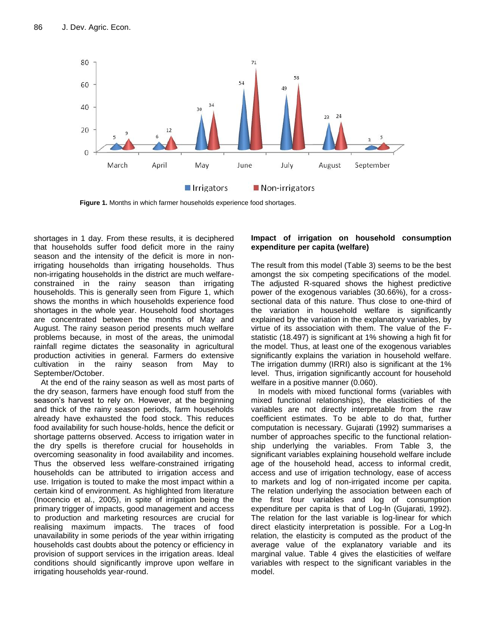

**Figure 1.** Months in which farmer households experience food shortages.

shortages in 1 day. From these results, it is deciphered that households suffer food deficit more in the rainy season and the intensity of the deficit is more in nonirrigating households than irrigating households. Thus non-irrigating households in the district are much welfareconstrained in the rainy season than irrigating households. This is generally seen from Figure 1, which shows the months in which households experience food shortages in the whole year. Household food shortages are concentrated between the months of May and August. The rainy season period presents much welfare problems because, in most of the areas, the unimodal rainfall regime dictates the seasonality in agricultural production activities in general. Farmers do extensive cultivation in the rainy season from May to September/October.

At the end of the rainy season as well as most parts of the dry season, farmers have enough food stuff from the season's harvest to rely on. However, at the beginning and thick of the rainy season periods, farm households already have exhausted the food stock. This reduces food availability for such house-holds, hence the deficit or shortage patterns observed. Access to irrigation water in the dry spells is therefore crucial for households in overcoming seasonality in food availability and incomes. Thus the observed less welfare-constrained irrigating households can be attributed to irrigation access and use. Irrigation is touted to make the most impact within a certain kind of environment. As highlighted from literature (Inocencio et al., 2005), in spite of irrigation being the primary trigger of impacts, good management and access to production and marketing resources are crucial for realising maximum impacts. The traces of food unavailability in some periods of the year within irrigating households cast doubts about the potency or efficiency in provision of support services in the irrigation areas. Ideal conditions should significantly improve upon welfare in irrigating households year-round.

# **Impact of irrigation on household consumption expenditure per capita (welfare)**

The result from this model (Table 3) seems to be the best amongst the six competing specifications of the model. The adjusted R-squared shows the highest predictive power of the exogenous variables (30.66%), for a crosssectional data of this nature. Thus close to one-third of the variation in household welfare is significantly explained by the variation in the explanatory variables, by virtue of its association with them. The value of the Fstatistic (18.497) is significant at 1% showing a high fit for the model. Thus, at least one of the exogenous variables significantly explains the variation in household welfare. The irrigation dummy (IRRI) also is significant at the 1% level. Thus, irrigation significantly account for household welfare in a positive manner (0.060).

In models with mixed functional forms (variables with mixed functional relationships), the elasticities of the variables are not directly interpretable from the raw coefficient estimates. To be able to do that, further computation is necessary. Gujarati (1992) summarises a number of approaches specific to the functional relationship underlying the variables. From Table 3, the significant variables explaining household welfare include age of the household head, access to informal credit, access and use of irrigation technology, ease of access to markets and log of non-irrigated income per capita. The relation underlying the association between each of the first four variables and log of consumption expenditure per capita is that of Log-ln (Gujarati, 1992). The relation for the last variable is log-linear for which direct elasticity interpretation is possible. For a Log-ln relation, the elasticity is computed as the product of the average value of the explanatory variable and its marginal value. Table 4 gives the elasticities of welfare variables with respect to the significant variables in the model.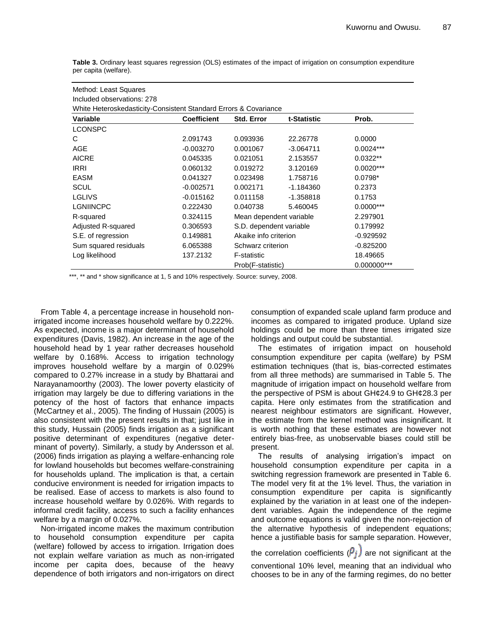**Table 3.** Ordinary least squares regression (OLS) estimates of the impact of irrigation on consumption expenditure per capita (welfare).

| Method: Least Squares                                            |                    |                         |                         |                |  |  |  |  |  |
|------------------------------------------------------------------|--------------------|-------------------------|-------------------------|----------------|--|--|--|--|--|
| Included observations: 278                                       |                    |                         |                         |                |  |  |  |  |  |
| White Heteroskedasticity-Consistent Standard Errors & Covariance |                    |                         |                         |                |  |  |  |  |  |
| Variable                                                         | <b>Coefficient</b> | Std. Error              | t-Statistic             | Prob.          |  |  |  |  |  |
| <b>LCONSPC</b>                                                   |                    |                         |                         |                |  |  |  |  |  |
| C                                                                | 2.091743           | 0.093936                | 22.26778                | 0.0000         |  |  |  |  |  |
| AGE                                                              | $-0.003270$        | 0.001067                | $-3.064711$             | $0.0024***$    |  |  |  |  |  |
| <b>AICRE</b>                                                     | 0.045335           | 0.021051                | 2.153557                | $0.0322**$     |  |  |  |  |  |
| <b>IRRI</b>                                                      | 0.060132           | 0.019272                | 3.120169                | $0.0020***$    |  |  |  |  |  |
| EASM                                                             | 0.041327           | 0.023498                | 1.758716                | $0.0798*$      |  |  |  |  |  |
| <b>SCUL</b>                                                      | $-0.002571$        | 0.002171                | $-1.184360$             | 0.2373         |  |  |  |  |  |
| <b>LGLIVS</b>                                                    | $-0.015162$        | 0.011158                | $-1.358818$             | 0.1753         |  |  |  |  |  |
| <b>LGNIINCPC</b>                                                 | 0.222430           | 0.040738                | 5.460045                | $0.0000***$    |  |  |  |  |  |
| 0.324115<br>R-squared                                            |                    | Mean dependent variable | 2.297901                |                |  |  |  |  |  |
| Adjusted R-squared<br>0.306593                                   |                    |                         | S.D. dependent variable |                |  |  |  |  |  |
| S.E. of regression                                               | 0.149881           | Akaike info criterion   |                         | $-0.929592$    |  |  |  |  |  |
| Sum squared residuals                                            | 6.065388           | Schwarz criterion       |                         | $-0.825200$    |  |  |  |  |  |
| Log likelihood                                                   | 137.2132           | <b>F-statistic</b>      |                         | 18.49665       |  |  |  |  |  |
|                                                                  |                    | Prob(F-statistic)       |                         | $0.000000$ *** |  |  |  |  |  |

\*\*\*, \*\* and \* show significance at 1, 5 and 10% respectively. Source: survey, 2008.

From Table 4, a percentage increase in household nonirrigated income increases household welfare by 0.222%. As expected, income is a major determinant of household expenditures (Davis, 1982). An increase in the age of the household head by 1 year rather decreases household welfare by 0.168%. Access to irrigation technology improves household welfare by a margin of 0.029% compared to 0.27% increase in a study by Bhattarai and Narayanamoorthy (2003). The lower poverty elasticity of irrigation may largely be due to differing variations in the potency of the host of factors that enhance impacts (McCartney et al., 2005). The finding of Hussain (2005) is also consistent with the present results in that; just like in this study, Hussain (2005) finds irrigation as a significant positive determinant of expenditures (negative determinant of poverty). Similarly, a study by Andersson et al. (2006) finds irrigation as playing a welfare-enhancing role for lowland households but becomes welfare-constraining for households upland. The implication is that, a certain conducive environment is needed for irrigation impacts to be realised. Ease of access to markets is also found to increase household welfare by 0.026%. With regards to informal credit facility, access to such a facility enhances welfare by a margin of 0.027%.

Non-irrigated income makes the maximum contribution to household consumption expenditure per capita (welfare) followed by access to irrigation. Irrigation does not explain welfare variation as much as non-irrigated income per capita does, because of the heavy dependence of both irrigators and non-irrigators on direct

consumption of expanded scale upland farm produce and incomes as compared to irrigated produce. Upland size holdings could be more than three times irrigated size holdings and output could be substantial.

The estimates of irrigation impact on household consumption expenditure per capita (welfare) by PSM estimation techniques (that is, bias-corrected estimates from all three methods) are summarised in Table 5. The magnitude of irrigation impact on household welfare from the perspective of PSM is about GH¢24.9 to GH¢28.3 per capita. Here only estimates from the stratification and nearest neighbour estimators are significant. However, the estimate from the kernel method was insignificant. It is worth nothing that these estimates are however not entirely bias-free, as unobservable biases could still be present.

The results of analysing irrigation"s impact on household consumption expenditure per capita in a switching regression framework are presented in Table 6. The model very fit at the 1% level. Thus, the variation in consumption expenditure per capita is significantly explained by the variation in at least one of the independent variables. Again the independence of the regime and outcome equations is valid given the non-rejection of the alternative hypothesis of independent equations; hence a justifiable basis for sample separation. However,

the correlation coefficients ( $\rho_i$ ) are not significant at the

conventional 10% level, meaning that an individual who chooses to be in any of the farming regimes, do no better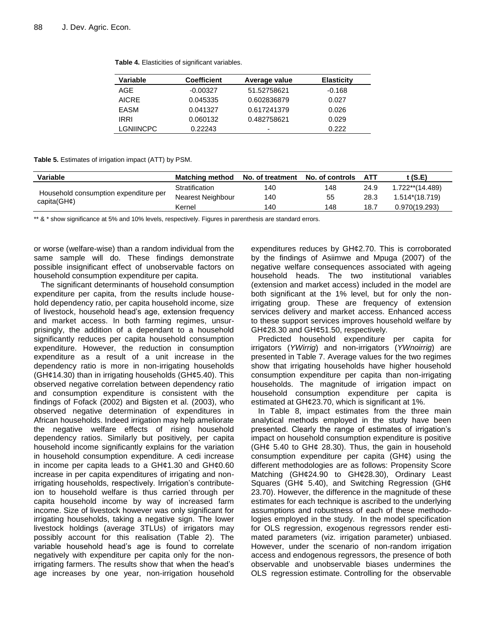| Table 4. Elasticities of significant variables. |  |
|-------------------------------------------------|--|
|-------------------------------------------------|--|

| Variable         | <b>Coefficient</b> | Average value            | <b>Elasticity</b> |
|------------------|--------------------|--------------------------|-------------------|
| AGE              | $-0.00327$         | 51.52758621              | -0.168            |
| <b>AICRE</b>     | 0.045335           | 0.602836879              | 0.027             |
| EASM             | 0.041327           | 0.617241379              | 0.026             |
| <b>IRRI</b>      | 0.060132           | 0.482758621              | 0.029             |
| <b>LGNIINCPC</b> | 0.22243            | $\overline{\phantom{0}}$ | 0.222             |
|                  |                    |                          |                   |

**Table 5.** Estimates of irrigation impact (ATT) by PSM.

| <b>Variable</b>                                          | <b>Matching method</b> | No. of treatment No. of controls |     | ATT  | t (S.E)         |
|----------------------------------------------------------|------------------------|----------------------------------|-----|------|-----------------|
|                                                          | Stratification         | 140                              | 148 | 24.9 | 1.722**(14.489) |
| Household consumption expenditure per<br>capita( $GH$ ¢) | Nearest Neighbour      | 140                              | 55  | 28.3 | 1.514*(18.719)  |
|                                                          | Kernel                 | 140                              | 148 | 18.7 | 0.970(19.293)   |

\*\* & \* show significance at 5% and 10% levels, respectively. Figures in parenthesis are standard errors.

or worse (welfare-wise) than a random individual from the same sample will do. These findings demonstrate possible insignificant effect of unobservable factors on household consumption expenditure per capita.

The significant determinants of household consumption expenditure per capita, from the results include household dependency ratio, per capita household income, size of livestock, household head"s age, extension frequency and market access. In both farming regimes, unsurprisingly, the addition of a dependant to a household significantly reduces per capita household consumption expenditure. However, the reduction in consumption expenditure as a result of a unit increase in the dependency ratio is more in non-irrigating households (GH¢14.30) than in irrigating households (GH¢5.40). This observed negative correlation between dependency ratio and consumption expenditure is consistent with the findings of Fofack (2002) and Bigsten et al. (2003), who observed negative determination of expenditures in African households. Indeed irrigation may help ameliorate the negative welfare effects of rising household dependency ratios. Similarly but positively, per capita household income significantly explains for the variation in household consumption expenditure. A cedi increase in income per capita leads to a  $GH¢1.30$  and  $GH¢0.60$ increase in per capita expenditures of irrigating and nonirrigating households, respectively. Irrigation's contributeion to household welfare is thus carried through per capita household income by way of increased farm income. Size of livestock however was only significant for irrigating households, taking a negative sign. The lower livestock holdings (average 3TLUs) of irrigators may possibly account for this realisation (Table 2). The variable household head"s age is found to correlate negatively with expenditure per capita only for the nonirrigating farmers. The results show that when the head"s age increases by one year, non-irrigation household expenditures reduces by GH¢2.70. This is corroborated by the findings of Asiimwe and Mpuga (2007) of the negative welfare consequences associated with ageing household heads. The two institutional variables (extension and market access) included in the model are both significant at the 1% level, but for only the nonirrigating group. These are frequency of extension services delivery and market access. Enhanced access to these support services improves household welfare by GH¢28.30 and GH¢51.50, respectively.

Predicted household expenditure per capita for irrigators (*YWirrig*) and non-irrigators (*YWnoirrig*) are presented in Table 7. Average values for the two regimes show that irrigating households have higher household consumption expenditure per capita than non-irrigating households. The magnitude of irrigation impact on household consumption expenditure per capita is estimated at GH¢23.70, which is significant at 1%.

In Table 8, impact estimates from the three main analytical methods employed in the study have been presented. Clearly the range of estimates of irrigation"s impact on household consumption expenditure is positive (GH¢ 5.40 to GH¢ 28.30). Thus, the gain in household consumption expenditure per capita  $(GH\varphi)$  using the different methodologies are as follows: Propensity Score Matching (GH¢24.90 to GH¢28.30), Ordinary Least Squares (GH¢ 5.40), and Switching Regression (GH¢ 23.70). However, the difference in the magnitude of these estimates for each technique is ascribed to the underlying assumptions and robustness of each of these methodologies employed in the study. In the model specification for OLS regression, exogenous regressors render estimated parameters (viz. irrigation parameter) unbiased. However, under the scenario of non-random irrigation access and endogenous regressors, the presence of both observable and unobservable biases undermines the OLS regression estimate. Controlling for the observable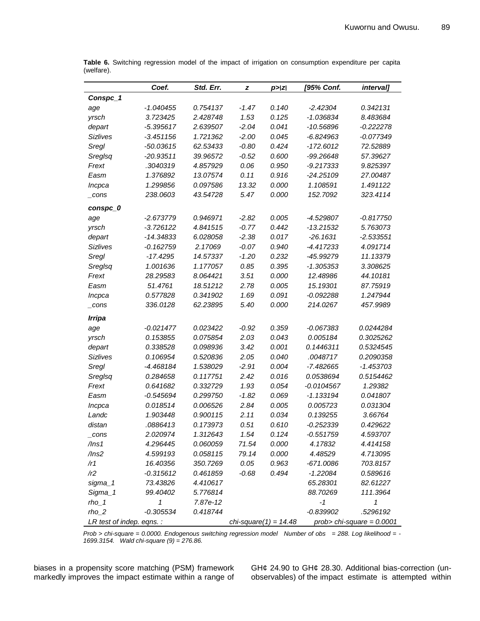|                           | Coef.       | Std. Err. | z       | p >  z                   | [95% Conf.   | <i>intervall</i>            |
|---------------------------|-------------|-----------|---------|--------------------------|--------------|-----------------------------|
| Conspc_1                  |             |           |         |                          |              |                             |
| age                       | $-1.040455$ | 0.754137  | -1.47   | 0.140                    | $-2.42304$   | 0.342131                    |
| yrsch                     | 3.723425    | 2.428748  | 1.53    | 0.125                    | -1.036834    | 8.483684                    |
| depart                    | $-5.395617$ | 2.639507  | $-2.04$ | 0.041                    | $-10.56896$  | $-0.222278$                 |
| <b>Sizlives</b>           | $-3.451156$ | 1.721362  | $-2.00$ | 0.045                    | -6.824963    | $-0.077349$                 |
| Sregl                     | $-50.03615$ | 62.53433  | $-0.80$ | 0.424                    | $-172.6012$  | 72.52889                    |
| Sreglsq                   | $-20.93511$ | 39.96572  | $-0.52$ | 0.600                    | -99.26648    | 57.39627                    |
| Frext                     | .3040319    | 4.857929  | 0.06    | 0.950                    | $-9.217333$  | 9.825397                    |
| Easm                      | 1.376892    | 13.07574  | 0.11    | 0.916                    | -24.25109    | 27.00487                    |
| Incpca                    | 1.299856    | 0.097586  | 13.32   | 0.000                    | 1.108591     | 1.491122                    |
| _cons                     | 238.0603    | 43.54728  | 5.47    | 0.000                    | 152.7092     | 323.4114                    |
| conspc_0                  |             |           |         |                          |              |                             |
| age                       | -2.673779   | 0.946971  | $-2.82$ | 0.005                    | -4.529807    | -0.817750                   |
| yrsch                     | $-3.726122$ | 4.841515  | $-0.77$ | 0.442                    | $-13.21532$  | 5.763073                    |
| depart                    | -14.34833   | 6.028058  | $-2.38$ | 0.017                    | $-26.1631$   | $-2.533551$                 |
| Sizlives                  | $-0.162759$ | 2.17069   | $-0.07$ | 0.940                    | -4.417233    | 4.091714                    |
| Sregl                     | $-17.4295$  | 14.57337  | $-1.20$ | 0.232                    | -45.99279    | 11.13379                    |
| Sreglsq                   | 1.001636    | 1.177057  | 0.85    | 0.395                    | -1.305353    | 3.308625                    |
| Frext                     | 28.29583    | 8.064421  | 3.51    | 0.000                    | 12.48986     | 44.10181                    |
| Easm                      | 51.4761     | 18.51212  | 2.78    | 0.005                    | 15.19301     | 87.75919                    |
| Incpca                    | 0.577828    | 0.341902  | 1.69    | 0.091                    | $-0.092288$  | 1.247944                    |
| cons                      | 336.0128    | 62.23895  | 5.40    | 0.000                    | 214.0267     | 457.9989                    |
| <b>Irripa</b>             |             |           |         |                          |              |                             |
| age                       | $-0.021477$ | 0.023422  | $-0.92$ | 0.359                    | $-0.067383$  | 0.0244284                   |
| yrsch                     | 0.153855    | 0.075854  | 2.03    | 0.043                    | 0.005184     | 0.3025262                   |
| depart                    | 0.338528    | 0.098936  | 3.42    | 0.001                    | 0.1446311    | 0.5324545                   |
| Sizlives                  | 0.106954    | 0.520836  | 2.05    | 0.040                    | .0048717     | 0.2090358                   |
| Sregl                     | -4.468184   | 1.538029  | $-2.91$ | 0.004                    | $-7.482665$  | $-1.453703$                 |
| Sreglsq                   | 0.284658    | 0.117751  | 2.42    | 0.016                    | 0.0538694    | 0.5154462                   |
| Frext                     | 0.641682    | 0.332729  | 1.93    | 0.054                    | $-0.0104567$ | 1.29382                     |
| Easm                      | $-0.545694$ | 0.299750  | $-1.82$ | 0.069                    | $-1.133194$  | 0.041807                    |
| Incpca                    | 0.018514    | 0.006526  | 2.84    | 0.005                    | 0.005723     | 0.031304                    |
| Landc                     | 1.903448    | 0.900115  | 2.11    | 0.034                    | 0.139255     | 3.66764                     |
| distan                    | .0886413    | 0.173973  | 0.51    | 0.610                    | -0.252339    | 0.429622                    |
| _cons                     | 2.020974    | 1.312643  | 1.54    | 0.124                    | $-0.551759$  | 4.593707                    |
| $/$ lns1                  | 4.296445    | 0.060059  | 71.54   | 0.000                    | 4.17832      | 4.414158                    |
| /lns2                     | 4.599193    | 0.058115  | 79.14   | 0.000                    | 4.48529      | 4.713095                    |
| /r1                       | 16.40356    | 350.7269  | 0.05    | 0.963                    | -671.0086    | 703.8157                    |
| /r2                       | $-0.315612$ | 0.461859  | $-0.68$ | 0.494                    | $-1.22084$   | 0.589616                    |
| sigma_1                   | 73.43826    | 4.410617  |         |                          | 65.28301     | 82.61227                    |
| Sigma_1                   | 99.40402    | 5.776814  |         |                          | 88.70269     | 111.3964                    |
| $rho_1$                   | 1           | 7.87e-12  |         |                          | -1           | 1                           |
| $rho_2$                   | $-0.305534$ | 0.418744  |         |                          | $-0.839902$  | .5296192                    |
| LR test of indep. eqns. : |             |           |         | chi-square $(1) = 14.48$ |              | prob> chi-square = $0.0001$ |

**Table 6.** Switching regression model of the impact of irrigation on consumption expenditure per capita (welfare).

*Prob > chi-square = 0.0000. Endogenous switching regression model Number of obs = 288. Log likelihood = - 1699.3154. Wald chi-square (9) = 276.86.*

biases in a propensity score matching (PSM) framework markedly improves the impact estimate within a range of

GH¢ 24.90 to GH¢ 28.30. Additional bias-correction (unobservables) of the impact estimate is attempted within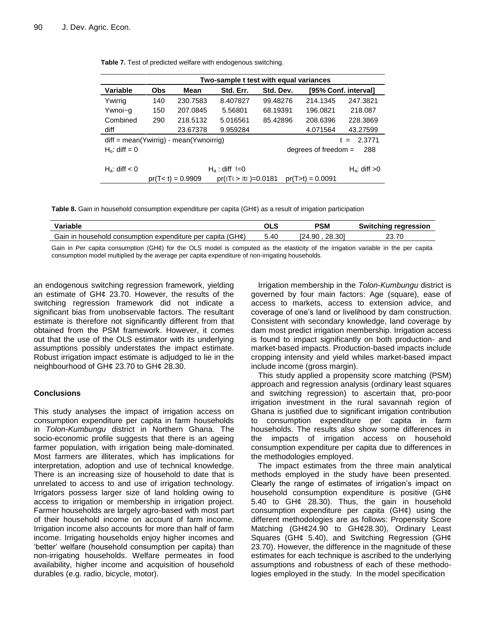|                                                             | Two-sample t test with equal variances |                   |                        |           |                        |                      |  |
|-------------------------------------------------------------|----------------------------------------|-------------------|------------------------|-----------|------------------------|----------------------|--|
| <b>Variable</b>                                             | <b>Obs</b>                             | Mean              | Std. Err.              | Std. Dev. |                        | [95% Conf. interval] |  |
| Ywirrig                                                     | 140                                    | 230.7583          | 8.407827               | 99.48276  | 214.1345               | 247.3821             |  |
| Ywnoi~g                                                     | 150                                    | 207.0845          | 5.56801                | 68.19391  | 196.0821               | 218,087              |  |
| Combined                                                    | 290                                    | 218.5132          | 5.016561               | 85.42896  | 208.6396               | 228.3869             |  |
| diff                                                        |                                        | 23.67378          | 9.959284               |           | 4.071564               | 43.27599             |  |
| $diff = mean(Ywirrig) - mean(Ywroirrig)$<br>2.3771<br>$t =$ |                                        |                   |                        |           |                        |                      |  |
| H <sub>o</sub> : diff = $0$                                 |                                        |                   |                        |           | degrees of freedom $=$ | 288                  |  |
|                                                             |                                        |                   |                        |           |                        |                      |  |
| $H_a$ : diff $< 0$                                          |                                        |                   | $H_a$ : diff !=0       |           |                        | $H_a$ : diff $>0$    |  |
|                                                             |                                        | $pr(T0) = 0.9909$ | $pr(I) >  t $ = 0.0181 |           | $pr(T>t) = 0.0091$     |                      |  |

**Table 7.** Test of predicted welfare with endogenous switching.

**Table 8.** Gain in household consumption expenditure per capita (GH¢) as a result of irrigation participation

| Variable                                                             | OLS  | <b>PSM</b>       | rearession<br>Switchina |
|----------------------------------------------------------------------|------|------------------|-------------------------|
| Gain in household consumption expenditure per capita<br>$(GH\alpha)$ | 5.40 | 28.301<br>I24.90 | 70                      |

Gain in Per capita consumption (GH¢) for the OLS model is computed as the elasticity of the irrigation variable in the per capita consumption model multiplied by the average per capita expenditure of non-irrigating households.

an endogenous switching regression framework, yielding an estimate of GH¢ 23.70. However, the results of the switching regression framework did not indicate a significant bias from unobservable factors. The resultant estimate is therefore not significantly different from that obtained from the PSM framework. However, it comes out that the use of the OLS estimator with its underlying assumptions possibly understates the impact estimate. Robust irrigation impact estimate is adjudged to lie in the neighbourhood of GH¢ 23.70 to GH¢ 28.30.

# **Conclusions**

This study analyses the impact of irrigation access on consumption expenditure per capita in farm households in *Tolon-Kumbungu* district in Northern Ghana. The socio-economic profile suggests that there is an ageing farmer population, with irrigation being male-dominated. Most farmers are illiterates, which has implications for interpretation, adoption and use of technical knowledge. There is an increasing size of household to date that is unrelated to access to and use of irrigation technology. Irrigators possess larger size of land holding owing to access to irrigation or membership in irrigation project. Farmer households are largely agro-based with most part of their household income on account of farm income. Irrigation income also accounts for more than half of farm income. Irrigating households enjoy higher incomes and "better" welfare (household consumption per capita) than non-irrigating households. Welfare permeates in food availability, higher income and acquisition of household durables (e.g. radio, bicycle, motor).

Irrigation membership in the *Tolon-Kumbungu* district is governed by four main factors: Age (square), ease of access to markets, access to extension advice, and coverage of one"s land or livelihood by dam construction. Consistent with secondary knowledge, land coverage by dam most predict irrigation membership. Irrigation access is found to impact significantly on both production- and market-based impacts. Production-based impacts include cropping intensity and yield whiles market-based impact include income (gross margin).

This study applied a propensity score matching (PSM) approach and regression analysis (ordinary least squares and switching regression) to ascertain that, pro-poor irrigation investment in the rural savannah region of Ghana is justified due to significant irrigation contribution to consumption expenditure per capita in farm households. The results also show some differences in the impacts of irrigation access on household consumption expenditure per capita due to differences in the methodologies employed.

The impact estimates from the three main analytical methods employed in the study have been presented. Clearly the range of estimates of irrigation"s impact on household consumption expenditure is positive (GH¢ 5.40 to GH¢ 28.30). Thus, the gain in household consumption expenditure per capita (GH¢) using the different methodologies are as follows: Propensity Score Matching (GH¢24.90 to GH¢28.30), Ordinary Least Squares (GH $\phi$  5.40), and Switching Regression (GH $\phi$ ) 23.70). However, the difference in the magnitude of these estimates for each technique is ascribed to the underlying assumptions and robustness of each of these methodologies employed in the study. In the model specification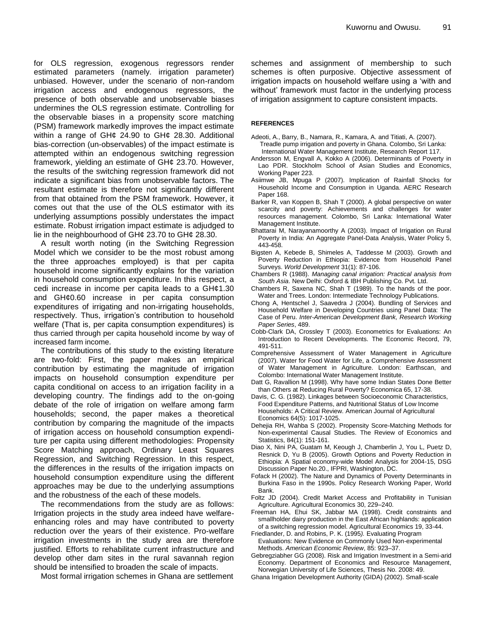for OLS regression, exogenous regressors render estimated parameters (namely. irrigation parameter) unbiased. However, under the scenario of non-random irrigation access and endogenous regressors, the presence of both observable and unobservable biases undermines the OLS regression estimate. Controlling for the observable biases in a propensity score matching (PSM) framework markedly improves the impact estimate within a range of GH¢ 24.90 to GH¢ 28.30. Additional bias-correction (un-observables) of the impact estimate is attempted within an endogenous switching regression framework, yielding an estimate of GH¢ 23.70. However, the results of the switching regression framework did not indicate a significant bias from unobservable factors. The resultant estimate is therefore not significantly different from that obtained from the PSM framework. However, it comes out that the use of the OLS estimator with its underlying assumptions possibly understates the impact estimate. Robust irrigation impact estimate is adjudged to lie in the neighbourhood of GH¢ 23.70 to GH¢ 28.30.

A result worth noting (in the Switching Regression Model which we consider to be the most robust among the three approaches employed) is that per capita household income significantly explains for the variation in household consumption expenditure. In this respect, a cedi increase in income per capita leads to a GH¢1.30 and GH¢0.60 increase in per capita consumption expenditures of irrigating and non-irrigating households, respectively. Thus, irrigation"s contribution to household welfare (That is, per capita consumption expenditures) is thus carried through per capita household income by way of increased farm income.

The contributions of this study to the existing literature are two-fold: First, the paper makes an empirical contribution by estimating the magnitude of irrigation impacts on household consumption expenditure per capita conditional on access to an irrigation facility in a developing country. The findings add to the on-going debate of the role of irrigation on welfare among farm households; second, the paper makes a theoretical contribution by comparing the magnitude of the impacts of irrigation access on household consumption expenditure per capita using different methodologies: Propensity Score Matching approach, Ordinary Least Squares Regression, and Switching Regression. In this respect, the differences in the results of the irrigation impacts on household consumption expenditure using the different approaches may be due to the underlying assumptions and the robustness of the each of these models.

The recommendations from the study are as follows: Irrigation projects in the study area indeed have welfareenhancing roles and may have contributed to poverty reduction over the years of their existence. Pro-welfare irrigation investments in the study area are therefore justified. Efforts to rehabilitate current infrastructure and develop other dam sites in the rural savannah region should be intensified to broaden the scale of impacts.

Most formal irrigation schemes in Ghana are settlement

schemes and assignment of membership to such schemes is often purposive. Objective assessment of irrigation impacts on household welfare using a "with and without" framework must factor in the underlying process of irrigation assignment to capture consistent impacts.

### **REFERENCES**

- Adeoti, A., Barry, B., Namara, R., Kamara, A. and Titiati, A. (2007). Treadle pump irrigation and poverty in Ghana. Colombo, Sri Lanka: International Water Management Institute, Research Report 117.
- Andersson M, Engvall A, Kokko A (2006). Determinants of Poverty in Lao PDR. Stockholm School of Asian Studies and Economics, Working Paper 223.
- Asiimwe JB, Mpuga P (2007). Implication of Rainfall Shocks for Household Income and Consumption in Uganda. AERC Research Paper 168.
- Barker R, van Koppen B, Shah T (2000). A global perspective on water scarcity and poverty: Achievements and challenges for water resources management. Colombo, Sri Lanka: International Water Management Institute.
- Bhattarai M, Narayanamoorthy A (2003). Impact of Irrigation on Rural Poverty in India: An Aggregate Panel-Data Analysis, Water Policy 5, 443-458.
- Bigsten A, Kebede B, Shimeles A, Taddesse M (2003). Growth and Poverty Reduction in Ethiopia: Evidence from Household Panel Surveys. *World Development* 31(1): 87-106.
- Chambers R (1988). *Managing canal irrigation: Practical analysis from South Asia*. New Delhi: Oxford & IBH Publishing Co. Pvt. Ltd.
- Chambers R, Saxena NC, Shah T (1989). To the hands of the poor. Water and Trees. London: Intermediate Technology Publications.
- Chong A, Hentschel J, Saavedra J (2004). Bundling of Services and Household Welfare in Developing Countries using Panel Data: The Case of Peru. *Inter-American Development Bank, Research Working Paper Series*, 489.
- Cobb-Clark DA, Crossley T (2003). Econometrics for Evaluations: An Introduction to Recent Developments. The Economic Record, 79, 491-511.
- Comprehensive Assessment of Water Management in Agriculture (2007). Water for Food Water for Life, a Comprehensive Assessment of Water Management in Agriculture. London: Earthscan, and Colombo: International Water Management Institute.
- Datt G, Ravallion M (1998). Why have some Indian States Done Better than Others at Reducing Rural Poverty? Economica 65, 17-38.
- Davis, C. G. (1982). Linkages between Socioeconomic Characteristics, Food Expenditure Patterns, and Nutritional Status of Low Income Households: A Critical Review. American Journal of Agricultural Economics 64(5): 1017-1025.
- Dehejia RH, Wahba S (2002). Propensity Score-Matching Methods for Non-experimental Causal Studies. The Review of Economics and Statistics, 84(1): 151-161.
- Diao X, Nini PA, Guatam M, Keough J, Chamberlin J, You L, Puetz D, Resnick D, Yu B (2005). Growth Options and Poverty Reduction in Ethiopia: A Spatial economy-wide Model Analysis for 2004-15, DSG Discussion Paper No.20., IFPRI, Washington, DC.
- Fofack H (2002). The Nature and Dynamics of Poverty Determinants in Burkina Faso in the 1990s. Policy Research Working Paper, World Bank.
- Foltz JD (2004). Credit Market Access and Profitability in Tunisian Agriculture. Agricultural Economics 30, 229–240.
- Freeman HA, Ehui SK, Jabbar MA (1998). Credit constraints and smallholder dairy production in the East African highlands: application of a switching regression model. Agricultural Economics 19, 33-44.
- Friedlander, D. and Robins, P. K. (1995*).* Evaluating Program Evaluations: New Evidence on Commonly Used Non-experimental Methods. *American Economic Review*, 85: 923–37.
- Gebregziabher GG (2008). Risk and Irrigation Investment in a Semi-arid Economy. Department of Economics and Resource Management, Norwegian University of Life Sciences, Thesis No. 2008: 49.
- Ghana Irrigation Development Authority (GIDA) (2002). Small-scale